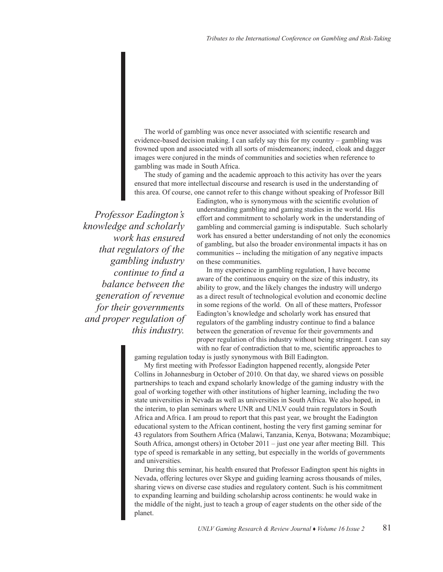The world of gambling was once never associated with scientific research and evidence-based decision making. I can safely say this for my country – gambling was frowned upon and associated with all sorts of misdemeanors; indeed, cloak and dagger images were conjured in the minds of communities and societies when reference to gambling was made in South Africa.

The study of gaming and the academic approach to this activity has over the years ensured that more intellectual discourse and research is used in the understanding of this area. Of course, one cannot refer to this change without speaking of Professor Bill

*Professor Eadington's knowledge and scholarly work has ensured that regulators of the gambling industry continue to find a balance between the generation of revenue for their governments and proper regulation of this industry.* 

Eadington, who is synonymous with the scientific evolution of understanding gambling and gaming studies in the world. His effort and commitment to scholarly work in the understanding of gambling and commercial gaming is indisputable. Such scholarly work has ensured a better understanding of not only the economics of gambling, but also the broader environmental impacts it has on communities -- including the mitigation of any negative impacts on these communities.

In my experience in gambling regulation, I have become aware of the continuous enquiry on the size of this industry, its ability to grow, and the likely changes the industry will undergo as a direct result of technological evolution and economic decline in some regions of the world. On all of these matters, Professor Eadington's knowledge and scholarly work has ensured that regulators of the gambling industry continue to find a balance between the generation of revenue for their governments and proper regulation of this industry without being stringent. I can say with no fear of contradiction that to me, scientific approaches to

gaming regulation today is justly synonymous with Bill Eadington.

My first meeting with Professor Eadington happened recently, alongside Peter Collins in Johannesburg in October of 2010. On that day, we shared views on possible partnerships to teach and expand scholarly knowledge of the gaming industry with the goal of working together with other institutions of higher learning, including the two state universities in Nevada as well as universities in South Africa. We also hoped, in the interim, to plan seminars where UNR and UNLV could train regulators in South Africa and Africa. I am proud to report that this past year, we brought the Eadington educational system to the African continent, hosting the very first gaming seminar for 43 regulators from Southern Africa (Malawi, Tanzania, Kenya, Botswana; Mozambique; South Africa, amongst others) in October 2011 – just one year after meeting Bill. This type of speed is remarkable in any setting, but especially in the worlds of governments and universities.

During this seminar, his health ensured that Professor Eadington spent his nights in Nevada, offering lectures over Skype and guiding learning across thousands of miles, sharing views on diverse case studies and regulatory content. Such is his commitment to expanding learning and building scholarship across continents: he would wake in the middle of the night, just to teach a group of eager students on the other side of the planet.